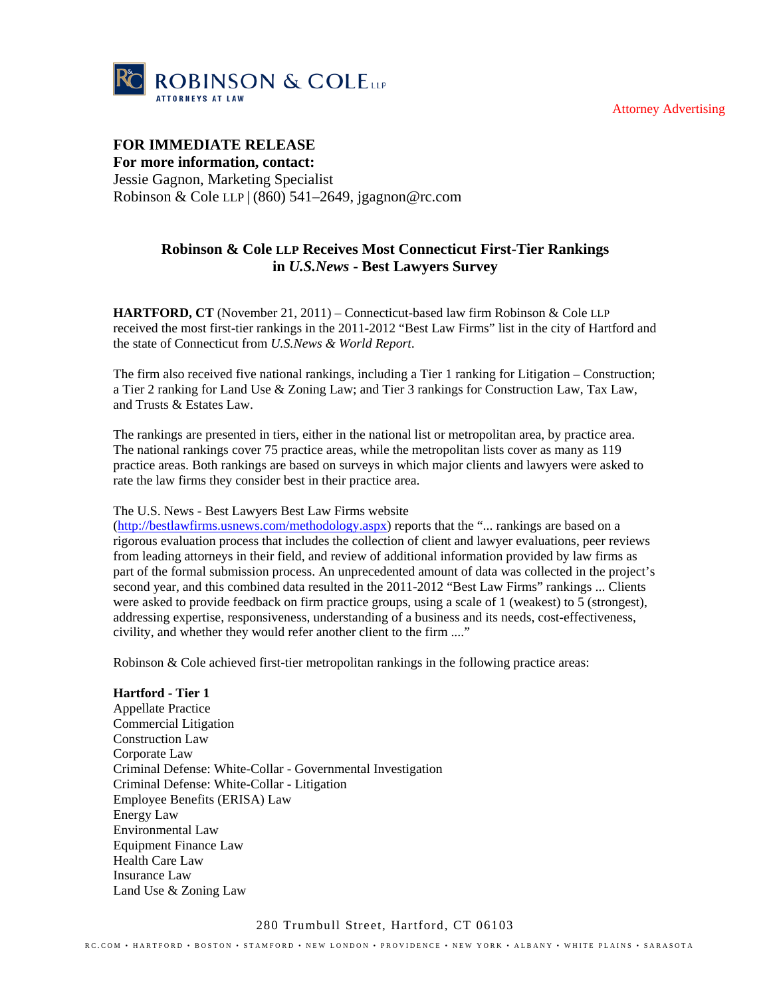Attorney Advertising



# **FOR IMMEDIATE RELEASE For more information, contact:**  Jessie Gagnon, Marketing Specialist Robinson & Cole LLP | (860) 541–2649, jgagnon@rc.com

# **Robinson & Cole LLP Receives Most Connecticut First-Tier Rankings in** *U.S.News* **- Best Lawyers Survey**

**HARTFORD, CT** (November 21, 2011) – Connecticut-based law firm Robinson & Cole LLP received the most first-tier rankings in the 2011-2012 "Best Law Firms" list in the city of Hartford and the state of Connecticut from *U.S.News & World Report*.

The firm also received five national rankings, including a Tier 1 ranking for Litigation – Construction; a Tier 2 ranking for Land Use & Zoning Law; and Tier 3 rankings for Construction Law, Tax Law, and Trusts & Estates Law.

The rankings are presented in tiers, either in the national list or metropolitan area, by practice area. The national rankings cover 75 practice areas, while the metropolitan lists cover as many as 119 practice areas. Both rankings are based on surveys in which major clients and lawyers were asked to rate the law firms they consider best in their practice area.

## The U.S. News - Best Lawyers Best Law Firms website

(http://bestlawfirms.usnews.com/methodology.aspx) reports that the "... rankings are based on a rigorous evaluation process that includes the collection of client and lawyer evaluations, peer reviews from leading attorneys in their field, and review of additional information provided by law firms as part of the formal submission process. An unprecedented amount of data was collected in the project's second year, and this combined data resulted in the 2011-2012 "Best Law Firms" rankings ... Clients were asked to provide feedback on firm practice groups, using a scale of 1 (weakest) to 5 (strongest), addressing expertise, responsiveness, understanding of a business and its needs, cost-effectiveness, civility, and whether they would refer another client to the firm ...."

Robinson & Cole achieved first-tier metropolitan rankings in the following practice areas:

**Hartford - Tier 1**  Appellate Practice Commercial Litigation Construction Law Corporate Law Criminal Defense: White-Collar - Governmental Investigation Criminal Defense: White-Collar - Litigation Employee Benefits (ERISA) Law Energy Law Environmental Law Equipment Finance Law Health Care Law Insurance Law Land Use & Zoning Law

## 280 Trumbull Street, Hartford, CT 06103